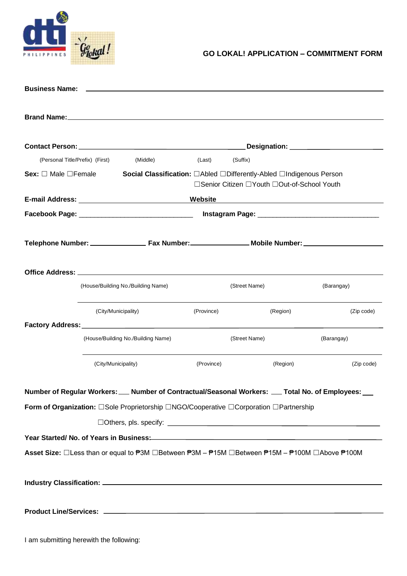

| (Personal Title/Prefix) (First)                                                                                                                                                                                                                                                                                               |                                    | (Middle)      | (Last)                                                              | (Suffix) |                                             |            |
|-------------------------------------------------------------------------------------------------------------------------------------------------------------------------------------------------------------------------------------------------------------------------------------------------------------------------------|------------------------------------|---------------|---------------------------------------------------------------------|----------|---------------------------------------------|------------|
| Sex: $\square$ Male $\square$ Female                                                                                                                                                                                                                                                                                          |                                    |               | Social Classification: □Abled □Differently-Abled □Indigenous Person |          |                                             |            |
|                                                                                                                                                                                                                                                                                                                               |                                    |               |                                                                     |          | □Senior Citizen □Youth □Out-of-School Youth |            |
| Website                                                                                                                                                                                                                                                                                                                       |                                    |               |                                                                     |          |                                             |            |
|                                                                                                                                                                                                                                                                                                                               |                                    |               |                                                                     |          |                                             |            |
|                                                                                                                                                                                                                                                                                                                               |                                    |               |                                                                     |          |                                             |            |
|                                                                                                                                                                                                                                                                                                                               |                                    |               |                                                                     |          |                                             |            |
|                                                                                                                                                                                                                                                                                                                               |                                    |               |                                                                     |          |                                             |            |
|                                                                                                                                                                                                                                                                                                                               |                                    |               |                                                                     |          |                                             |            |
|                                                                                                                                                                                                                                                                                                                               |                                    |               |                                                                     |          |                                             |            |
|                                                                                                                                                                                                                                                                                                                               | (House/Building No./Building Name) | (Street Name) |                                                                     |          | (Barangay)                                  |            |
|                                                                                                                                                                                                                                                                                                                               |                                    |               |                                                                     |          |                                             |            |
|                                                                                                                                                                                                                                                                                                                               | (City/Municipality)                |               | (Province)                                                          |          | (Region)                                    | (Zip code) |
| Factory Address: No. 1996. The Contractor of the Contractor of the Contractor of the Contractor of the Contractor of the Contractor of the Contractor of the Contractor of the Contractor of the Contractor of the Contractor                                                                                                 |                                    |               |                                                                     |          |                                             |            |
|                                                                                                                                                                                                                                                                                                                               | (House/Building No./Building Name) |               | (Street Name)                                                       |          |                                             | (Barangay) |
|                                                                                                                                                                                                                                                                                                                               |                                    |               |                                                                     |          |                                             |            |
|                                                                                                                                                                                                                                                                                                                               | (City/Municipality)                |               | (Province)                                                          | (Region) |                                             | (Zip code) |
|                                                                                                                                                                                                                                                                                                                               |                                    |               |                                                                     |          |                                             |            |
| Number of Regular Workers: __ Number of Contractual/Seasonal Workers: __ Total No. of Employees: __                                                                                                                                                                                                                           |                                    |               |                                                                     |          |                                             |            |
| Form of Organization: □Sole Proprietorship □NGO/Cooperative □Corporation □Partnership                                                                                                                                                                                                                                         |                                    |               |                                                                     |          |                                             |            |
|                                                                                                                                                                                                                                                                                                                               |                                    |               |                                                                     |          |                                             |            |
|                                                                                                                                                                                                                                                                                                                               |                                    |               |                                                                     |          |                                             |            |
| Year Started/ No. of Years in Business:<br>Managem Managem Managem Managem Managem Managem Managem Managem Managem Managem Managem Managem Managem Manag<br>Asset Size: □Less than or equal to <sup>#</sup> 3M □Between <sup>#</sup> 3M - <sup>#15M</sup> □Between <sup>#15M</sup> - <sup>#100M</sup> □Above <sup>#100M</sup> |                                    |               |                                                                     |          |                                             |            |
|                                                                                                                                                                                                                                                                                                                               |                                    |               |                                                                     |          |                                             |            |
|                                                                                                                                                                                                                                                                                                                               |                                    |               |                                                                     |          |                                             |            |
|                                                                                                                                                                                                                                                                                                                               |                                    |               |                                                                     |          |                                             |            |
|                                                                                                                                                                                                                                                                                                                               |                                    |               |                                                                     |          |                                             |            |
|                                                                                                                                                                                                                                                                                                                               |                                    |               |                                                                     |          |                                             |            |
|                                                                                                                                                                                                                                                                                                                               |                                    |               |                                                                     |          |                                             |            |
|                                                                                                                                                                                                                                                                                                                               |                                    |               |                                                                     |          |                                             |            |

I am submitting herewith the following: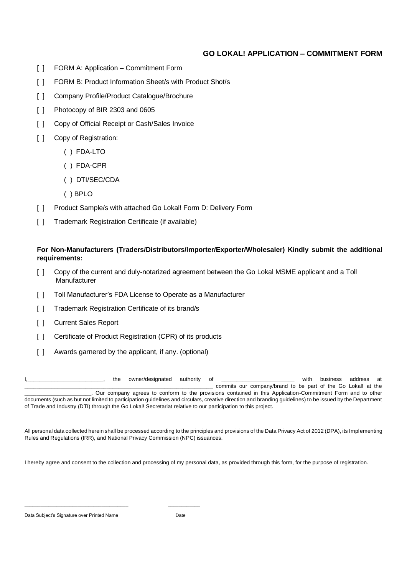- [ ] FORM A: Application Commitment Form
- [ ] FORM B: Product Information Sheet/s with Product Shot/s
- [ ] Company Profile/Product Catalogue/Brochure
- [ ] Photocopy of BIR 2303 and 0605
- [  $\vert$  ] Copy of Official Receipt or Cash/Sales Invoice
- [ ] Copy of Registration:
	- ( ) FDA-LTO
	- ( ) FDA-CPR
	- ( ) DTI/SEC/CDA
	- ( ) BPLO
- [ ] Product Sample/s with attached Go Lokal! Form D: Delivery Form
- [ ] Trademark Registration Certificate (if available)

## **For Non-Manufacturers (Traders/Distributors/Importer/Exporter/Wholesaler) Kindly submit the additional requirements:**

- [ ] Copy of the current and duly-notarized agreement between the Go Lokal MSME applicant and a Toll Manufacturer
- [ ] Toll Manufacturer's FDA License to Operate as a Manufacturer

of Trade and Industry (DTI) through the Go Lokal! Secretariat relative to our participation to this project.

- [ ] Trademark Registration Certificate of its brand/s
- [ ] Current Sales Report
- [ ] Certificate of Product Registration (CPR) of its products
- [ ] Awards garnered by the applicant, if any. (optional)

\_\_\_\_\_\_\_\_\_\_\_\_\_\_\_\_\_\_\_\_\_\_\_\_\_\_\_\_\_\_\_\_\_\_\_\_\_\_\_ \_\_\_\_\_\_\_\_\_\_\_\_

the owner/designated authority of \_\_\_\_\_\_\_\_\_\_\_\_\_\_\_\_\_\_\_\_\_\_\_\_ with business address at commits our company/brand to be part of the Go Lokal! at the \_\_\_\_\_\_\_\_\_\_\_\_\_\_\_\_\_\_\_\_\_\_. Our company agrees to conform to the provisions contained in this Application-Commitment Form and to other documents (such as but not limited to participation guidelines and circulars, creative direction and branding guidelines) to be issued by the Department

All personal data collected herein shall be processed according to the principles and provisions of the Data Privacy Act of 2012 (DPA), its Implementing Rules and Regulations (IRR), and National Privacy Commission (NPC) issuances.

I hereby agree and consent to the collection and processing of my personal data, as provided through this form, for the purpose of registration.

Data Subject's Signature over Printed Name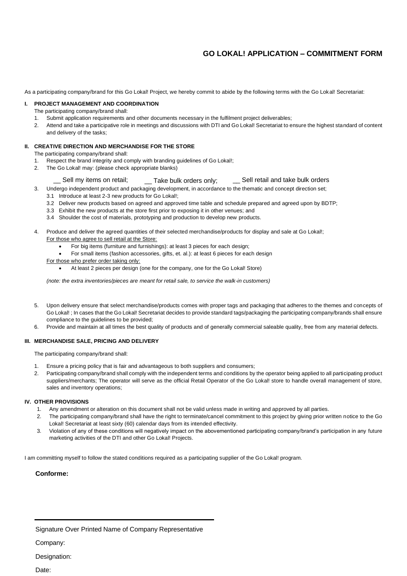As a participating company/brand for this Go Lokal! Project, we hereby commit to abide by the following terms with the Go Lokal! Secretariat:

#### **I. PROJECT MANAGEMENT AND COORDINATION**

The participating company/brand shall:

- 1. Submit application requirements and other documents necessary in the fulfilment project deliverables;
- 2. Attend and take a participative role in meetings and discussions with DTI and Go Lokal! Secretariat to ensure the highest standard of content and delivery of the tasks;

### **II. CREATIVE DIRECTION AND MERCHANDISE FOR THE STORE**

The participating company/brand shall:

- 1. Respect the brand integrity and comply with branding guidelines of Go Lokal!;
- 2. The Go Lokal! may: (please check appropriate blanks)

### $\_$  Sell my items on retail;  $\qquad \_$  Take bulk orders only;  $\qquad \_$  Sell retail and take bulk orders

3. Undergo independent product and packaging development, in accordance to the thematic and concept direction set;

- 3.1 Introduce at least 2-3 new products for Go Lokal!;
- 3.2 Deliver new products based on agreed and approved time table and schedule prepared and agreed upon by BDTP;
- 3.3 Exhibit the new products at the store first prior to exposing it in other venues; and
- 3.4 Shoulder the cost of materials, prototyping and production to develop new products.
- 4. Produce and deliver the agreed quantities of their selected merchandise/products for display and sale at Go Lokal!; For those who agree to sell retail at the Store:
	- For big items (furniture and furnishings): at least 3 pieces for each design;
	- For small items (fashion accessories, gifts, et. al.): at least 6 pieces for each design
	- For those who prefer order taking only:
		- At least 2 pieces per design (one for the company, one for the Go Lokal! Store)

*(note: the extra inventories/pieces are meant for retail sale, to service the walk-in customers)*

- 5. Upon delivery ensure that select merchandise/products comes with proper tags and packaging that adheres to the themes and concepts of Go Lokal! ; In cases that the Go Lokal! Secretariat decides to provide standard tags/packaging the participating company/brands shall ensure compliance to the guidelines to be provided;
- 6. Provide and maintain at all times the best quality of products and of generally commercial saleable quality, free from any material defects.

#### **III. MERCHANDISE SALE, PRICING AND DELIVERY**

The participating company/brand shall:

- 1. Ensure a pricing policy that is fair and advantageous to both suppliers and consumers;
- 2. Participating company/brand shall comply with the independent terms and conditions by the operator being applied to all participating product suppliers/merchants; The operator will serve as the official Retail Operator of the Go Lokal! store to handle overall management of store, sales and inventory operations;

#### **IV. OTHER PROVISIONS**

- 1. Any amendment or alteration on this document shall not be valid unless made in writing and approved by all parties.
- 2. The participating company/brand shall have the right to terminate/cancel commitment to this project by giving prior written notice to the Go Lokal! Secretariat at least sixty (60) calendar days from its intended effectivity.
- 3. Violation of any of these conditions will negatively impact on the abovementioned participating company/brand's participation in any future marketing activities of the DTI and other Go Lokal! Projects.

I am committing myself to follow the stated conditions required as a participating supplier of the Go Lokal! program.

#### **Conforme:**

Signature Over Printed Name of Company Representative

Company:

Designation:

Date: